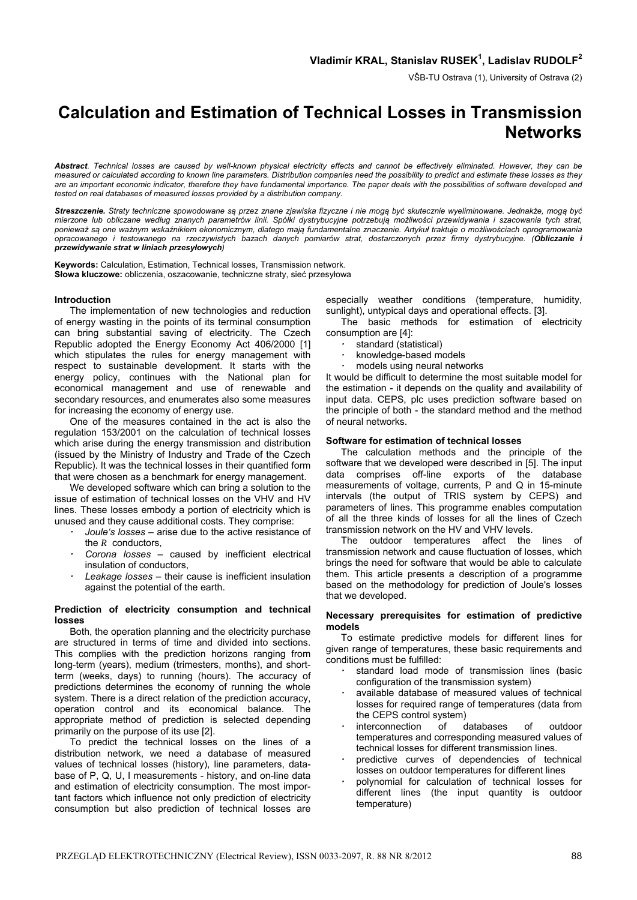VŠB-TU Ostrava (1), University of Ostrava (2)

# **Calculation and Estimation of Technical Losses in Transmission Networks**

*Abstract. Technical losses are caused by well-known physical electricity effects and cannot be effectively eliminated. However, they can be measured or calculated according to known line parameters. Distribution companies need the possibility to predict and estimate these losses as they are an important economic indicator, therefore they have fundamental importance. The paper deals with the possibilities of software developed and tested on real databases of measured losses provided by a distribution company.* 

Streszczenie. Straty techniczne spowodowane są przez znane zjawiska fizyczne i nie mogą być skutecznie wyeliminowane. Jednakże, mogą być *mierzone lub obliczane według znanych parametrów linii. Spółki dystrybucyjne potrzebują możliwości przewidywania i szacowania tych strat,*  ponieważ są one ważnym wskaźnikiem ekonomicznym, dlatego mają fundamentalne znaczenie. Artykuł traktuje o możliwościach oprogramowania *opracowanego i testowanego na rzeczywistych bazach danych pomiarów strat, dostarczonych przez firmy dystrybucyjne. (Obliczanie i przewidywanie strat w liniach przesyłowych)* 

**Keywords:** Calculation, Estimation, Technical losses, Transmission network. **Słowa kluczowe:** obliczenia, oszacowanie, techniczne straty, sieć przesyłowa

# **Introduction**

 The implementation of new technologies and reduction of energy wasting in the points of its terminal consumption can bring substantial saving of electricity. The Czech Republic adopted the Energy Economy Act 406/2000 [1] which stipulates the rules for energy management with respect to sustainable development. It starts with the energy policy, continues with the National plan for economical management and use of renewable and secondary resources, and enumerates also some measures for increasing the economy of energy use.

 One of the measures contained in the act is also the regulation 153/2001 on the calculation of technical losses which arise during the energy transmission and distribution (issued by the Ministry of Industry and Trade of the Czech Republic). It was the technical losses in their quantified form that were chosen as a benchmark for energy management.

 We developed software which can bring a solution to the issue of estimation of technical losses on the VHV and HV lines. These losses embody a portion of electricity which is unused and they cause additional costs. They comprise:

- *· Joule's losses* arise due to the active resistance of the *R* conductors,
- Corona losses caused by inefficient electrical insulation of conductors,
- Leakage losses their cause is inefficient insulation against the potential of the earth.

# **Prediction of electricity consumption and technical losses**

 Both, the operation planning and the electricity purchase are structured in terms of time and divided into sections. This complies with the prediction horizons ranging from long-term (years), medium (trimesters, months), and shortterm (weeks, days) to running (hours). The accuracy of predictions determines the economy of running the whole system. There is a direct relation of the prediction accuracy, operation control and its economical balance. The appropriate method of prediction is selected depending primarily on the purpose of its use [2].

 To predict the technical losses on the lines of a distribution network, we need a database of measured values of technical losses (history), line parameters, database of P, Q, U, I measurements - history, and on-line data and estimation of electricity consumption. The most important factors which influence not only prediction of electricity consumption but also prediction of technical losses are

especially weather conditions (temperature, humidity, sunlight), untypical days and operational effects. [3].

 The basic methods for estimation of electricity consumption are [4]:

- standard (statistical)
- *·* knowledge-based models
- models using neural networks

It would be difficult to determine the most suitable model for the estimation - it depends on the quality and availability of input data. CEPS, plc uses prediction software based on the principle of both - the standard method and the method of neural networks.

# **Software for estimation of technical losses**

 The calculation methods and the principle of the software that we developed were described in [5]. The input data comprises off-line exports of the database measurements of voltage, currents, P and Q in 15-minute intervals (the output of TRIS system by CEPS) and parameters of lines. This programme enables computation of all the three kinds of losses for all the lines of Czech transmission network on the HV and VHV levels.

 The outdoor temperatures affect the lines of transmission network and cause fluctuation of losses, which brings the need for software that would be able to calculate them. This article presents a description of a programme based on the methodology for prediction of Joule's losses that we developed.

# **Necessary prerequisites for estimation of predictive models**

 To estimate predictive models for different lines for given range of temperatures, these basic requirements and conditions must be fulfilled:

- standard load mode of transmission lines (basic configuration of the transmission system)
- available database of measured values of technical losses for required range of temperatures (data from the CEPS control system)
- *·* interconnection of databases of outdoor temperatures and corresponding measured values of technical losses for different transmission lines.
- *·* predictive curves of dependencies of technical losses on outdoor temperatures for different lines
- polynomial for calculation of technical losses for different lines (the input quantity is outdoor temperature)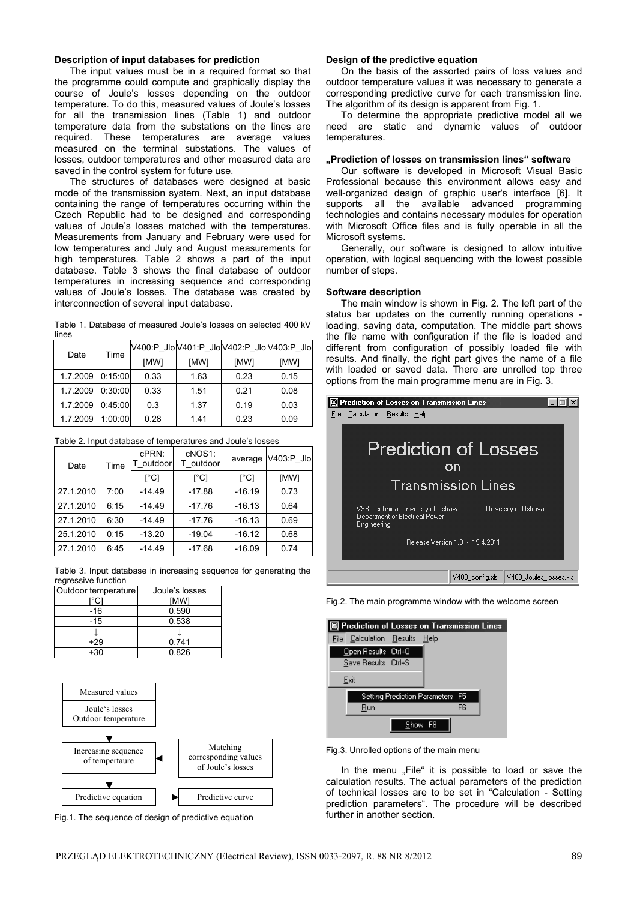# **Description of input databases for prediction**

 The input values must be in a required format so that the programme could compute and graphically display the course of Joule's losses depending on the outdoor temperature. To do this, measured values of Joule's losses for all the transmission lines (Table 1) and outdoor temperature data from the substations on the lines are required. These temperatures are average values measured on the terminal substations. The values of losses, outdoor temperatures and other measured data are saved in the control system for future use.

 The structures of databases were designed at basic mode of the transmission system. Next, an input database containing the range of temperatures occurring within the Czech Republic had to be designed and corresponding values of Joule's losses matched with the temperatures. Measurements from January and February were used for low temperatures and July and August measurements for high temperatures. Table 2 shows a part of the input database. Table 3 shows the final database of outdoor temperatures in increasing sequence and corresponding values of Joule's losses. The database was created by interconnection of several input database.

Table 1. Database of measured Joule's losses on selected 400 kV lines

| Date     | Time    |      |      |      | V400:P_JloV401:P_JloV402:P_JloV403:P_Jlo |
|----------|---------|------|------|------|------------------------------------------|
|          |         | [MW] | [MW] | [MW] | [MW]                                     |
| 1.7.2009 | 0:15:00 | 0.33 | 1.63 | 0.23 | 0.15                                     |
| 1.7.2009 | 0:30:00 | 0.33 | 1.51 | 0.21 | 0.08                                     |
| 1.7.2009 | 0:45:00 | 0.3  | 1.37 | 0.19 | 0.03                                     |
| 1.7.2009 | 1:00:00 | 0.28 | 1.41 | 0.23 | 0.09                                     |

| Date      | Time | cPRN:<br>outdoor | cNOS1:<br>T outdoor | average  | V403:P Jlo |
|-----------|------|------------------|---------------------|----------|------------|
|           |      | [°C]             | [°C]                | [°C]     | [MW]       |
| 27.1.2010 | 7:00 | $-14.49$         | $-17.88$            | $-16.19$ | 0.73       |
| 27.1.2010 | 6:15 | $-14.49$         | $-17.76$            | $-16.13$ | 0.64       |
| 27.1.2010 | 6:30 | $-14.49$         | $-17.76$            | $-16.13$ | 0.69       |
| 25.1.2010 | 0:15 | $-13.20$         | $-19.04$            | $-16.12$ | 0.68       |
| 27.1.2010 | 6:45 | $-14.49$         | $-17.68$            | $-16.09$ | 0.74       |

Table 3. Input database in increasing sequence for generating the regressive function

| Outdoor temperature | Joule's losses |  |  |
|---------------------|----------------|--|--|
| °CI                 | <b>IMWI</b>    |  |  |
| -16                 | 0.590          |  |  |
| -15                 | 0.538          |  |  |
|                     |                |  |  |
| $+29$               | 0.741          |  |  |
| +3∩                 | 0.826          |  |  |



Fig.1. The sequence of design of predictive equation

#### **Design of the predictive equation**

 On the basis of the assorted pairs of loss values and outdoor temperature values it was necessary to generate a corresponding predictive curve for each transmission line. The algorithm of its design is apparent from Fig. 1.

 To determine the appropriate predictive model all we need are static and dynamic values of outdoor temperatures.

# **"Prediction of losses on transmission lines" software**

 Our software is developed in Microsoft Visual Basic Professional because this environment allows easy and well-organized design of graphic user's interface [6]. It supports all the available advanced programming technologies and contains necessary modules for operation with Microsoft Office files and is fully operable in all the Microsoft systems.

 Generally, our software is designed to allow intuitive operation, with logical sequencing with the lowest possible number of steps.

#### **Software description**

 The main window is shown in Fig. 2. The left part of the status bar updates on the currently running operations loading, saving data, computation. The middle part shows the file name with configuration if the file is loaded and different from configuration of possibly loaded file with results. And finally, the right part gives the name of a file with loaded or saved data. There are unrolled top three options from the main programme menu are in Fig. 3.



Fig.2. The main programme window with the welcome screen

| 图 Prediction of Losses on Transmission Lines |                                  |    |  |
|----------------------------------------------|----------------------------------|----|--|
| File Calculation Results Help                |                                  |    |  |
| Open Results Ctrl+0                          |                                  |    |  |
| Save Results Ctrl+S                          |                                  |    |  |
| Exit                                         |                                  |    |  |
|                                              | Setting Prediction Parameters F5 |    |  |
| Run                                          |                                  | FR |  |
|                                              | Show                             |    |  |

Fig.3. Unrolled options of the main menu

In the menu "File" it is possible to load or save the calculation results. The actual parameters of the prediction of technical losses are to be set in "Calculation - Setting prediction parameters". The procedure will be described further in another section.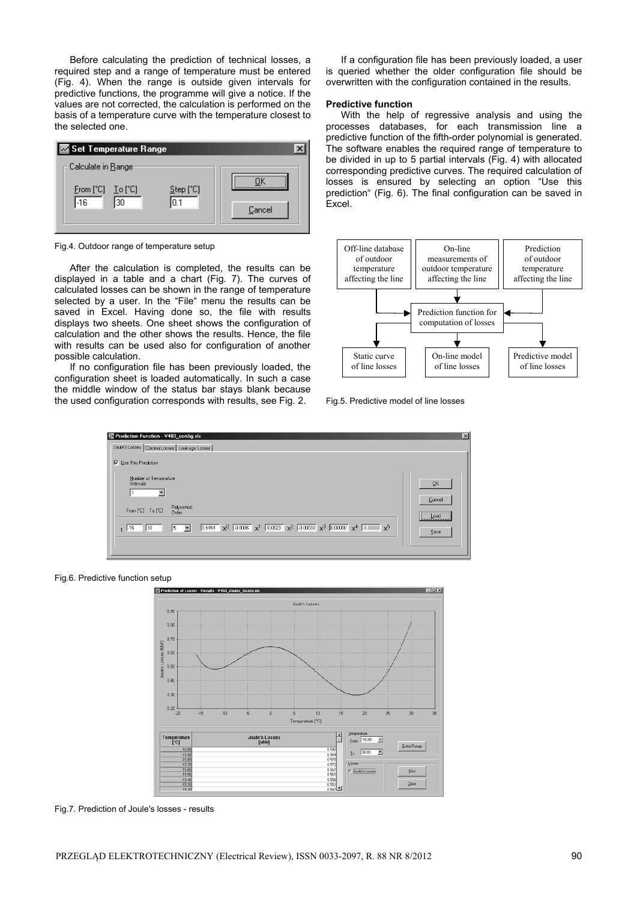Before calculating the prediction of technical losses, a required step and a range of temperature must be entered (Fig. 4). When the range is outside given intervals for predictive functions, the programme will give a notice. If the values are not corrected, the calculation is performed on the basis of a temperature curve with the temperature closest to the selected one.



Fig.4. Outdoor range of temperature setup

 After the calculation is completed, the results can be displayed in a table and a chart (Fig. 7). The curves of calculated losses can be shown in the range of temperature selected by a user. In the "File" menu the results can be saved in Excel. Having done so, the file with results displays two sheets. One sheet shows the configuration of calculation and the other shows the results. Hence, the file with results can be used also for configuration of another possible calculation.

 If no configuration file has been previously loaded, the configuration sheet is loaded automatically. In such a case the middle window of the status bar stays blank because the used configuration corresponds with results, see Fig. 2.

 If a configuration file has been previously loaded, a user is queried whether the older configuration file should be overwritten with the configuration contained in the results.

#### **Predictive function**

 With the help of regressive analysis and using the processes databases, for each transmission line a predictive function of the fifth-order polynomial is generated. The software enables the required range of temperature to be divided in up to 5 partial intervals (Fig. 4) with allocated corresponding predictive curves. The required calculation of losses is ensured by selecting an option "Use this prediction" (Fig. 6). The final configuration can be saved in Excel.



Fig.5. Predictive model of line losses



Fig.6. Predictive function setup



Fig.7. Prediction of Joule's losses - results